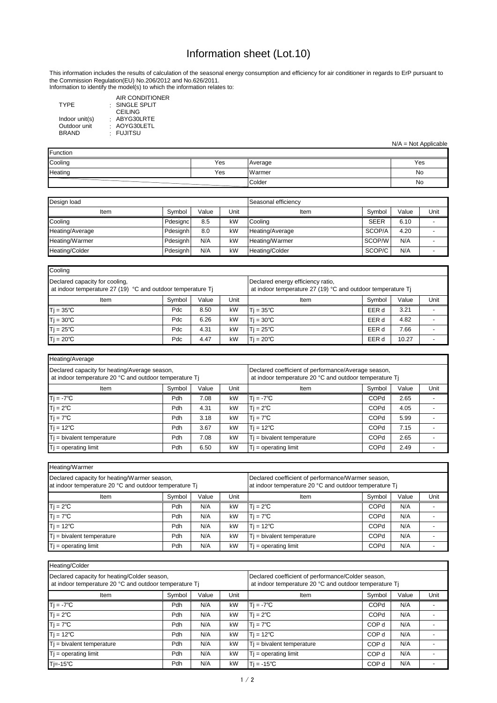Information to identify the model(s) to which the information relates to:

: SINGLE SPLIT : ABYG30LRTE AIR CONDITIONER CEILING AOYG30LETL FUJITSU

: : TYPE Indoor unit(s) Outdoor unit BRAND

| Heating/Average                                                                                         |                                                                                                               |       |      |                              |             |       |      |
|---------------------------------------------------------------------------------------------------------|---------------------------------------------------------------------------------------------------------------|-------|------|------------------------------|-------------|-------|------|
| Declared capacity for heating/Average season,<br>at indoor temperature 20 °C and outdoor temperature Tj | Declared coefficient of performance/Average season,<br>at indoor temperature 20 °C and outdoor temperature Tj |       |      |                              |             |       |      |
| Item                                                                                                    | Symbol                                                                                                        | Value | Unit | <b>Item</b>                  | Symbol      | Value | Unit |
| $Tj = -7^{\circ}C$                                                                                      | Pdh                                                                                                           | 7.08  | kW   | $T = -7^{\circ}C$            | <b>COPd</b> | 2.65  |      |
| $Tj = 2^{\circ}C$                                                                                       | Pdh                                                                                                           | 4.31  | kW   | $T = 2^{\circ}C$             | <b>COPd</b> | 4.05  |      |
| $Tj = 7^{\circ}C$                                                                                       | Pdh                                                                                                           | 3.18  | kW   | $T = 7^{\circ}C$             | <b>COPd</b> | 5.99  |      |
| $Tj = 12^{\circ}C$                                                                                      | Pdh                                                                                                           | 3.67  | kW   | $T$ j = 12°C                 | <b>COPd</b> | 7.15  |      |
| $T$ j = bivalent temperature                                                                            | Pdh                                                                                                           | 7.08  | kW   | $T_i$ = bivalent temperature | <b>COPd</b> | 2.65  |      |
| $Tj = operating limit$                                                                                  | Pdh                                                                                                           | 6.50  | kW   | $T_i$ = operating limit      | <b>COPd</b> | 2.49  |      |

| Heating/Warmer                                                                                         |                                                                                                              |       |      |                              |             |       |      |  |
|--------------------------------------------------------------------------------------------------------|--------------------------------------------------------------------------------------------------------------|-------|------|------------------------------|-------------|-------|------|--|
| Declared capacity for heating/Warmer season,<br>at indoor temperature 20 °C and outdoor temperature Tj | Declared coefficient of performance/Warmer season,<br>at indoor temperature 20 °C and outdoor temperature Tj |       |      |                              |             |       |      |  |
| Item                                                                                                   | Symbol                                                                                                       | Value | Unit | Item                         | Symbol      | Value | Unit |  |
| $Tj = 2^{\circ}C$                                                                                      | Pdh                                                                                                          | N/A   | kW   | $T = 2^{\circ}C$             | <b>COPd</b> | N/A   |      |  |
| $Tj = 7^{\circ}C$                                                                                      | Pdh                                                                                                          | N/A   | kW   | $Ti = 7^{\circ}C$            | <b>COPd</b> | N/A   |      |  |
| $Tj = 12^{\circ}C$                                                                                     | Pdh                                                                                                          | N/A   | kW   | $T = 12^{\circ}C$            | <b>COPd</b> | N/A   |      |  |
| $Tj$ = bivalent temperature                                                                            | Pdh                                                                                                          | N/A   | kW   | $T$ j = bivalent temperature | <b>COPd</b> | N/A   |      |  |
| $Tj = operating limit$                                                                                 | Pdh                                                                                                          | N/A   | kW   | $T$ = operating limit        | <b>COPd</b> | N/A   |      |  |

| Design load     |          |       |      | Seasonal efficiency |             |       |      |
|-----------------|----------|-------|------|---------------------|-------------|-------|------|
| Item            | Symbol   | Value | Unit | Item                | Symbol      | Value | Unit |
| Cooling         | Pdesignc | 8.5   | kW   | ,Cooling            | <b>SEER</b> | 6.10  |      |
| Heating/Average | Pdesignh | 8.0   | kW   | Heating/Average     | SCOP/A      | 4.20  |      |
| Heating/Warmer  | Pdesignh | N/A   | kW   | Heating/Warmer      | SCOP/W      | N/A   |      |
| Heating/Colder  | Pdesignh | N/A   | kW   | Heating/Colder      | SCOP/C      | N/A   |      |

| Heating/Colder                                                                                         |                                                                                                              |       |      |                              |                  |       |      |
|--------------------------------------------------------------------------------------------------------|--------------------------------------------------------------------------------------------------------------|-------|------|------------------------------|------------------|-------|------|
| Declared capacity for heating/Colder season,<br>at indoor temperature 20 °C and outdoor temperature Tj | Declared coefficient of performance/Colder season,<br>at indoor temperature 20 °C and outdoor temperature Tj |       |      |                              |                  |       |      |
| Item                                                                                                   | Symbol                                                                                                       | Value | Unit | Item                         | Symbol           | Value | Unit |
| $Ti = -7^{\circ}C$                                                                                     | Pdh                                                                                                          | N/A   | kW   | $Tj = -7^{\circ}C$           | COPd             | N/A   |      |
| $Tj = 2^{\circ}C$                                                                                      | Pdh                                                                                                          | N/A   | kW   | $T = 2^{\circ}C$             | <b>COPd</b>      | N/A   |      |
| $Tj = 7^{\circ}C$                                                                                      | Pdh                                                                                                          | N/A   | kW   | $Tj = 7^{\circ}C$            | COP d            | N/A   |      |
| $Tj = 12^{\circ}C$                                                                                     | Pdh                                                                                                          | N/A   | kW   | $T$ j = 12°C                 | COP <sub>d</sub> | N/A   |      |
| $Ti = bivalent temperature$                                                                            | Pdh                                                                                                          | N/A   | kW   | $T_i$ = bivalent temperature | COP d            | N/A   |      |
| $Tj = operating limit$                                                                                 | Pdh                                                                                                          | N/A   | kW   | $T$ = operating limit        | COP d            | N/A   |      |
| 'Tj=-15℃                                                                                               | Pdh                                                                                                          | N/A   | kW   | $T = -15^{\circ}C$           | COP d            | N/A   |      |

| Cooling                                                                                       |                                                                                                  |       |      |                   |        |       |      |
|-----------------------------------------------------------------------------------------------|--------------------------------------------------------------------------------------------------|-------|------|-------------------|--------|-------|------|
| Declared capacity for cooling,<br>at indoor temperature 27 (19) °C and outdoor temperature Tj | Declared energy efficiency ratio,<br>at indoor temperature 27 (19) °C and outdoor temperature Tj |       |      |                   |        |       |      |
| Item                                                                                          | Symbol                                                                                           | Value | Unit | Item              | Svmbol | Value | Unit |
| $Tj = 35^{\circ}C$                                                                            | Pdc                                                                                              | 8.50  | kW   | $T = 35^{\circ}C$ | EER d  | 3.21  |      |
| $Tj = 30^{\circ}C$                                                                            | Pdc                                                                                              | 6.26  | kW   | $T = 30^{\circ}C$ | EER d  | 4.82  |      |
| $Tj = 25^{\circ}C$                                                                            | Pdc                                                                                              | 4.31  | kW   | $T = 25^{\circ}C$ | EER d  | 7.66  |      |
| $T$ j = 20 $^{\circ}$ C                                                                       | Pdc                                                                                              | 4.47  | kW   | $T = 20^{\circ}C$ | EER d  | 10.27 |      |

| Function |     |         |     |
|----------|-----|---------|-----|
| Cooling  | Yes | Average | Yes |
| Heating  | Yes | Warmer  | No  |
|          |     | Colder  | No  |

## Information sheet (Lot.10)

N/A = Not Applicable

This information includes the results of calculation of the seasonal energy consumption and efficiency for air conditioner in regards to ErP pursuant to the Commission Regulation(EU) No.206/2012 and No.626/2011.